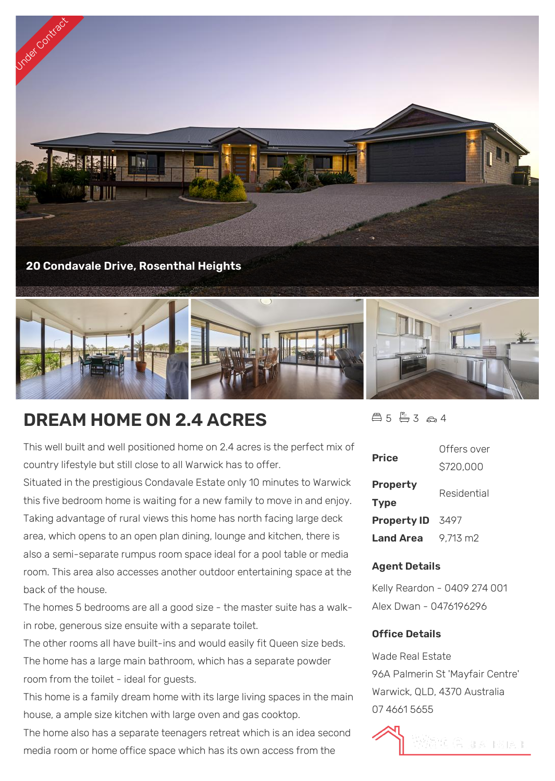



# **DREAM HOME ON 2.4 ACRES**

This well built and well positioned home on 2.4 acres is the perfect mix of country lifestyle but still close to all Warwick has to offer.

Situated in the prestigious Condavale Estate only 10 minutes to Warwick this five bedroom home is waiting for a new family to move in and enjoy. Taking advantage of rural views this home has north facing large deck area, which opens to an open plan dining, lounge and kitchen, there is also a semi-separate rumpus room space ideal for a pool table or media room. This area also accesses another outdoor entertaining space at the back of the house.

The homes 5 bedrooms are all a good size - the master suite has a walkin robe, generous size ensuite with a separate toilet.

The other rooms all have built-ins and would easily fit Queen size beds. The home has a large main bathroom, which has a separate powder room from the toilet - ideal for guests.

This home is a family dream home with its large living spaces in the main house, a ample size kitchen with large oven and gas cooktop.

The home also has a separate teenagers retreat which is an idea second media room or home office space which has its own access from the



| <b>Price</b>                   | Offers over |
|--------------------------------|-------------|
|                                | \$720,000   |
| <b>Property</b><br><b>Type</b> | Residential |
| <b>Property ID</b>             | 3497        |
| Land Area                      | 9.713 m2    |

### **Agent Details**

Kelly Reardon - 0409 274 001 Alex Dwan - 0476196296

### **Office Details**

Wade Real Estate 96A Palmerin St 'Mayfair Centre' Warwick, QLD, 4370 Australia 07 4661 5655